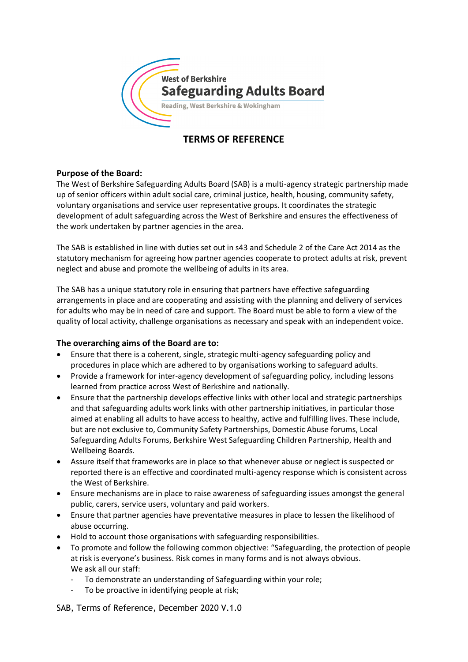

# **TERMS OF REFERENCE**

# **Purpose of the Board:**

The West of Berkshire Safeguarding Adults Board (SAB) is a multi-agency strategic partnership made up of senior officers within adult social care, criminal justice, health, housing, community safety, voluntary organisations and service user representative groups. It coordinates the strategic development of adult safeguarding across the West of Berkshire and ensures the effectiveness of the work undertaken by partner agencies in the area.

The SAB is established in line with duties set out in s43 and Schedule 2 of the Care Act 2014 as the statutory mechanism for agreeing how partner agencies cooperate to protect adults at risk, prevent neglect and abuse and promote the wellbeing of adults in its area.

The SAB has a unique statutory role in ensuring that partners have effective safeguarding arrangements in place and are cooperating and assisting with the planning and delivery of services for adults who may be in need of care and support. The Board must be able to form a view of the quality of local activity, challenge organisations as necessary and speak with an independent voice.

#### **The overarching aims of the Board are to:**

- Ensure that there is a coherent, single, strategic multi-agency safeguarding policy and procedures in place which are adhered to by organisations working to safeguard adults.
- Provide a framework for inter-agency development of safeguarding policy, including lessons learned from practice across West of Berkshire and nationally.
- Ensure that the partnership develops effective links with other local and strategic partnerships and that safeguarding adults work links with other partnership initiatives, in particular those aimed at enabling all adults to have access to healthy, active and fulfilling lives. These include, but are not exclusive to, Community Safety Partnerships, Domestic Abuse forums, Local Safeguarding Adults Forums, Berkshire West Safeguarding Children Partnership, Health and Wellbeing Boards.
- Assure itself that frameworks are in place so that whenever abuse or neglect is suspected or reported there is an effective and coordinated multi-agency response which is consistent across the West of Berkshire.
- Ensure mechanisms are in place to raise awareness of safeguarding issues amongst the general public, carers, service users, voluntary and paid workers.
- Ensure that partner agencies have preventative measures in place to lessen the likelihood of abuse occurring.
- Hold to account those organisations with safeguarding responsibilities.
- To promote and follow the following common objective: "Safeguarding, the protection of people at risk is everyone's business. Risk comes in many forms and is not always obvious. We ask all our staff:
	- To demonstrate an understanding of Safeguarding within your role;
	- To be proactive in identifying people at risk;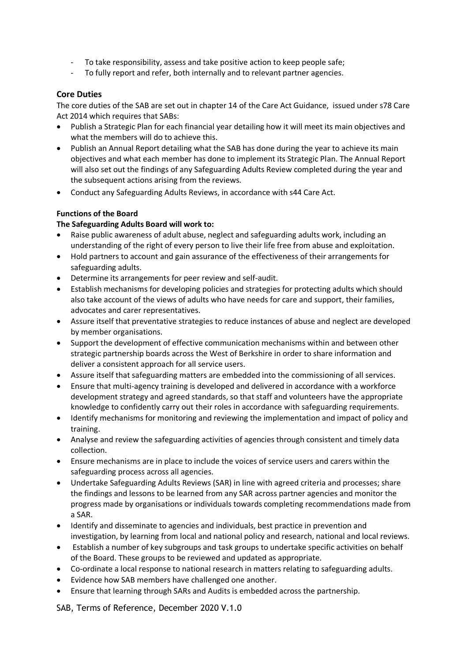- To take responsibility, assess and take positive action to keep people safe;
- To fully report and refer, both internally and to relevant partner agencies.

#### **Core Duties**

The core duties of the SAB are set out in chapter 14 of the Care Act Guidance, issued under s78 Care Act 2014 which requires that SABs:

- Publish a Strategic Plan for each financial year detailing how it will meet its main objectives and what the members will do to achieve this.
- Publish an Annual Report detailing what the SAB has done during the year to achieve its main objectives and what each member has done to implement its Strategic Plan. The Annual Report will also set out the findings of any Safeguarding Adults Review completed during the year and the subsequent actions arising from the reviews.
- Conduct any Safeguarding Adults Reviews, in accordance with s44 Care Act.

#### **Functions of the Board**

#### **The Safeguarding Adults Board will work to:**

- Raise public awareness of adult abuse, neglect and safeguarding adults work, including an understanding of the right of every person to live their life free from abuse and exploitation.
- Hold partners to account and gain assurance of the effectiveness of their arrangements for safeguarding adults.
- Determine its arrangements for peer review and self-audit.
- Establish mechanisms for developing policies and strategies for protecting adults which should also take account of the views of adults who have needs for care and support, their families, advocates and carer representatives.
- Assure itself that preventative strategies to reduce instances of abuse and neglect are developed by member organisations.
- Support the development of effective communication mechanisms within and between other strategic partnership boards across the West of Berkshire in order to share information and deliver a consistent approach for all service users.
- Assure itself that safeguarding matters are embedded into the commissioning of all services.
- Ensure that multi-agency training is developed and delivered in accordance with a workforce development strategy and agreed standards, so that staff and volunteers have the appropriate knowledge to confidently carry out their roles in accordance with safeguarding requirements.
- Identify mechanisms for monitoring and reviewing the implementation and impact of policy and training.
- Analyse and review the safeguarding activities of agencies through consistent and timely data collection.
- Ensure mechanisms are in place to include the voices of service users and carers within the safeguarding process across all agencies.
- Undertake Safeguarding Adults Reviews (SAR) in line with agreed criteria and processes; share the findings and lessons to be learned from any SAR across partner agencies and monitor the progress made by organisations or individuals towards completing recommendations made from a SAR.
- Identify and disseminate to agencies and individuals, best practice in prevention and investigation, by learning from local and national policy and research, national and local reviews.
- Establish a number of key subgroups and task groups to undertake specific activities on behalf of the Board. These groups to be reviewed and updated as appropriate.
- Co-ordinate a local response to national research in matters relating to safeguarding adults.
- Evidence how SAB members have challenged one another.
- Ensure that learning through SARs and Audits is embedded across the partnership.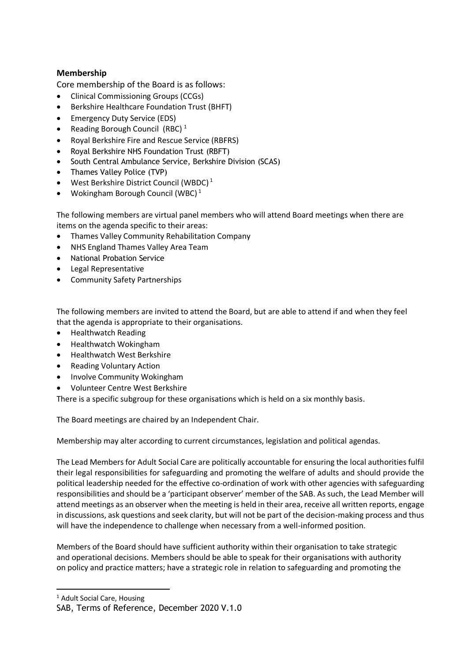# **Membership**

Core membership of the Board is as follows:

- Clinical Commissioning Groups (CCGs)
- Berkshire Healthcare Foundation Trust (BHFT)
- Emergency Duty Service (EDS)
- Reading Borough Council (RBC) $<sup>1</sup>$ </sup>
- Royal Berkshire Fire and Rescue Service (RBFRS)
- Royal Berkshire NHS Foundation Trust (RBFT)
- South Central Ambulance Service, Berkshire Division (SCAS)
- Thames Valley Police (TVP)
- West Berkshire District Council (WBDC) $<sup>1</sup>$ </sup>
- Wokingham Borough Council (WBC)<sup>1</sup>

The following members are virtual panel members who will attend Board meetings when there are items on the agenda specific to their areas:

- Thames Valley Community Rehabilitation Company
- NHS England Thames Valley Area Team
- National Probation Service
- Legal Representative
- Community Safety Partnerships

The following members are invited to attend the Board, but are able to attend if and when they feel that the agenda is appropriate to their organisations.

- Healthwatch Reading
- Healthwatch Wokingham
- Healthwatch West Berkshire
- Reading Voluntary Action
- Involve Community Wokingham
- Volunteer Centre West Berkshire

There is a specific subgroup for these organisations which is held on a six monthly basis.

The Board meetings are chaired by an Independent Chair.

Membership may alter according to current circumstances, legislation and political agendas.

The Lead Members for Adult Social Care are politically accountable for ensuring the local authorities fulfil their legal responsibilities for safeguarding and promoting the welfare of adults and should provide the political leadership needed for the effective co-ordination of work with other agencies with safeguarding responsibilities and should be a 'participant observer' member of the SAB. As such, the Lead Member will attend meetings as an observer when the meeting is held in their area, receive all written reports, engage in discussions, ask questions and seek clarity, but will not be part of the decision-making process and thus will have the independence to challenge when necessary from a well-informed position.

Members of the Board should have sufficient authority within their organisation to take strategic and operational decisions. Members should be able to speak for their organisations with authority on policy and practice matters; have a strategic role in relation to safeguarding and promoting the

1

<sup>&</sup>lt;sup>1</sup> Adult Social Care, Housing

SAB, Terms of Reference, December 2020 V.1.0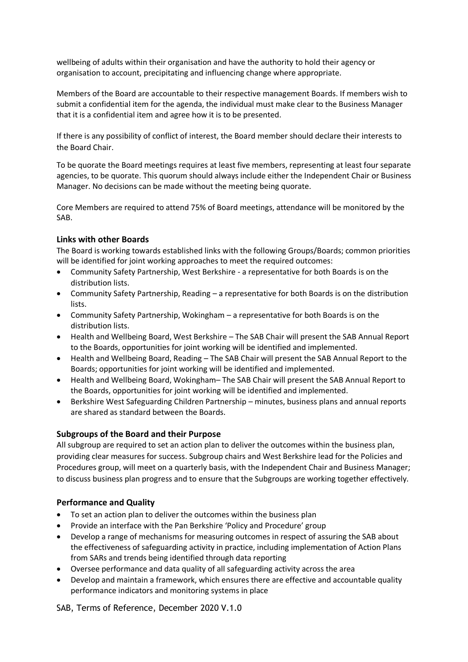wellbeing of adults within their organisation and have the authority to hold their agency or organisation to account, precipitating and influencing change where appropriate.

Members of the Board are accountable to their respective management Boards. If members wish to submit a confidential item for the agenda, the individual must make clear to the Business Manager that it is a confidential item and agree how it is to be presented.

If there is any possibility of conflict of interest, the Board member should declare their interests to the Board Chair.

To be quorate the Board meetings requires at least five members, representing at least four separate agencies, to be quorate. This quorum should always include either the Independent Chair or Business Manager. No decisions can be made without the meeting being quorate.

Core Members are required to attend 75% of Board meetings, attendance will be monitored by the SAB.

#### **Links with other Boards**

The Board is working towards established links with the following Groups/Boards; common priorities will be identified for joint working approaches to meet the required outcomes:

- Community Safety Partnership, West Berkshire a representative for both Boards is on the distribution lists.
- Community Safety Partnership, Reading a representative for both Boards is on the distribution lists.
- Community Safety Partnership, Wokingham a representative for both Boards is on the distribution lists.
- Health and Wellbeing Board, West Berkshire The SAB Chair will present the SAB Annual Report to the Boards, opportunities for joint working will be identified and implemented.
- Health and Wellbeing Board, Reading The SAB Chair will present the SAB Annual Report to the Boards; opportunities for joint working will be identified and implemented.
- Health and Wellbeing Board, Wokingham– The SAB Chair will present the SAB Annual Report to the Boards, opportunities for joint working will be identified and implemented.
- Berkshire West Safeguarding Children Partnership minutes, business plans and annual reports are shared as standard between the Boards.

#### **Subgroups of the Board and their Purpose**

All subgroup are required to set an action plan to deliver the outcomes within the business plan, providing clear measures for success. Subgroup chairs and West Berkshire lead for the Policies and Procedures group, will meet on a quarterly basis, with the Independent Chair and Business Manager; to discuss business plan progress and to ensure that the Subgroups are working together effectively.

#### **Performance and Quality**

- To set an action plan to deliver the outcomes within the business plan
- Provide an interface with the Pan Berkshire 'Policy and Procedure' group
- Develop a range of mechanisms for measuring outcomes in respect of assuring the SAB about the effectiveness of safeguarding activity in practice, including implementation of Action Plans from SARs and trends being identified through data reporting
- Oversee performance and data quality of all safeguarding activity across the area
- Develop and maintain a framework, which ensures there are effective and accountable quality performance indicators and monitoring systems in place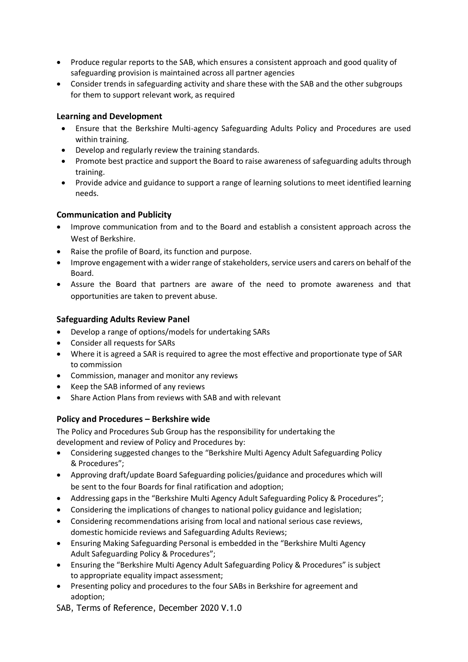- Produce regular reports to the SAB, which ensures a consistent approach and good quality of safeguarding provision is maintained across all partner agencies
- Consider trends in safeguarding activity and share these with the SAB and the other subgroups for them to support relevant work, as required

# **Learning and Development**

- Ensure that the Berkshire Multi-agency Safeguarding Adults Policy and Procedures are used within training.
- Develop and regularly review the training standards.
- Promote best practice and support the Board to raise awareness of safeguarding adults through training.
- Provide advice and guidance to support a range of learning solutions to meet identified learning needs.

# **Communication and Publicity**

- Improve communication from and to the Board and establish a consistent approach across the West of Berkshire.
- Raise the profile of Board, its function and purpose.
- Improve engagement with a wider range of stakeholders, service users and carers on behalf of the Board.
- Assure the Board that partners are aware of the need to promote awareness and that opportunities are taken to prevent abuse.

# **Safeguarding Adults Review Panel**

- Develop a range of options/models for undertaking SARs
- Consider all requests for SARs
- Where it is agreed a SAR is required to agree the most effective and proportionate type of SAR to commission
- Commission, manager and monitor any reviews
- Keep the SAB informed of any reviews
- Share Action Plans from reviews with SAB and with relevant

# **Policy and Procedures – Berkshire wide**

The Policy and Procedures Sub Group has the responsibility for undertaking the development and review of Policy and Procedures by:

- Considering suggested changes to the "Berkshire Multi Agency Adult Safeguarding Policy & Procedures";
- Approving draft/update Board Safeguarding policies/guidance and procedures which will be sent to the four Boards for final ratification and adoption;
- Addressing gaps in the "Berkshire Multi Agency Adult Safeguarding Policy & Procedures";
- Considering the implications of changes to national policy guidance and legislation;
- Considering recommendations arising from local and national serious case reviews, domestic homicide reviews and Safeguarding Adults Reviews;
- Ensuring Making Safeguarding Personal is embedded in the "Berkshire Multi Agency Adult Safeguarding Policy & Procedures";
- Ensuring the "Berkshire Multi Agency Adult Safeguarding Policy & Procedures" is subject to appropriate equality impact assessment;
- Presenting policy and procedures to the four SABs in Berkshire for agreement and adoption;